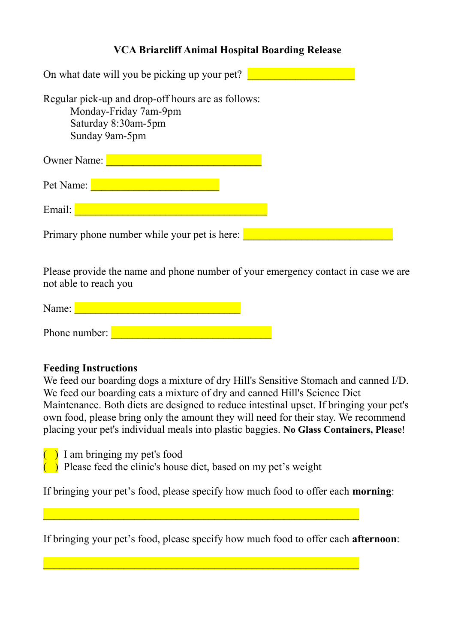## **VCA Briarcliff Animal Hospital Boarding Release**

| On what date will you be picking up your pet?                                                                        |  |
|----------------------------------------------------------------------------------------------------------------------|--|
| Regular pick-up and drop-off hours are as follows:<br>Monday-Friday 7am-9pm<br>Saturday 8:30am-5pm<br>Sunday 9am-5pm |  |
| <b>Owner Name:</b>                                                                                                   |  |
| Pet Name:                                                                                                            |  |
| Email:                                                                                                               |  |
| Primary phone number while your pet is here:                                                                         |  |

Please provide the name and phone number of your emergency contact in case we are not able to reach you

| Name:         |  |
|---------------|--|
|               |  |
| Phone number: |  |

#### **Feeding Instructions**

We feed our boarding dogs a mixture of dry Hill's Sensitive Stomach and canned I/D. We feed our boarding cats a mixture of dry and canned Hill's Science Diet Maintenance. Both diets are designed to reduce intestinal upset. If bringing your pet's own food, please bring only the amount they will need for their stay. We recommend placing your pet's individual meals into plastic baggies. **No Glass Containers, Please**!

- $\overline{\phantom{a}}$  I am bringing my pet's food
- $\left(\begin{array}{c}\right)$  Please feed the clinic's house diet, based on my pet's weight

If bringing your pet's food, please specify how much food to offer each **morning**:

If bringing your pet's food, please specify how much food to offer each **afternoon**: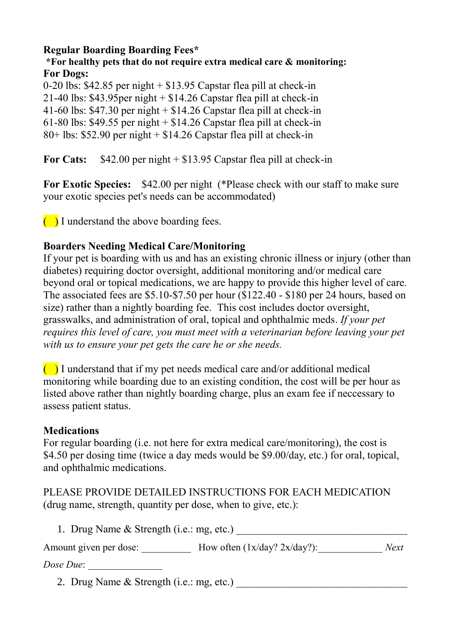### **Regular Boarding Boarding Fees\***

### **\*For healthy pets that do not require extra medical care & monitoring: For Dogs:**

0-20 lbs: \$42.85 per night + \$13.95 Capstar flea pill at check-in 21-40 lbs:  $$43.95$ per night  $+ $14.26$  Capstar flea pill at check-in 41-60 lbs:  $$47.30$  per night  $+ $14.26$  Capstar flea pill at check-in 61-80 lbs:  $$49.55$  per night  $+ $14.26$  Capstar flea pill at check-in  $80+$  lbs: \$52.90 per night  $+$  \$14.26 Capstar flea pill at check-in

**For Cats:** \$42.00 per night + \$13.95 Capstar flea pill at check-in

**For Exotic Species:** \$42.00 per night (\*Please check with our staff to make sure your exotic species pet's needs can be accommodated)

 $\Box$  I understand the above boarding fees.

# **Boarders Needing Medical Care/Monitoring**

If your pet is boarding with us and has an existing chronic illness or injury (other than diabetes) requiring doctor oversight, additional monitoring and/or medical care beyond oral or topical medications, we are happy to provide this higher level of care. The associated fees are \$5.10-\$7.50 per hour (\$122.40 - \$180 per 24 hours, based on size) rather than a nightly boarding fee. This cost includes doctor oversight, grasswalks, and administration of oral, topical and ophthalmic meds. *If your pet requires this level of care, you must meet with a veterinarian before leaving your pet with us to ensure your pet gets the care he or she needs.*

 $\Box$  I understand that if my pet needs medical care and/or additional medical monitoring while boarding due to an existing condition, the cost will be per hour as listed above rather than nightly boarding charge, plus an exam fee if neccessary to assess patient status.

### **Medications**

For regular boarding (i.e. not here for extra medical care/monitoring), the cost is \$4.50 per dosing time (twice a day meds would be \$9.00/day, etc.) for oral, topical, and ophthalmic medications.

# PLEASE PROVIDE DETAILED INSTRUCTIONS FOR EACH MEDICATION (drug name, strength, quantity per dose, when to give, etc.):

| 1. Drug Name & Strength (i.e.: mg, etc.) |                                 |      |  |  |
|------------------------------------------|---------------------------------|------|--|--|
| Amount given per dose:                   | How often $(1x/day? 2x/day?)$ : | Next |  |  |

*Dose Due*: \_\_\_\_\_\_\_\_\_\_\_\_\_\_\_

2. Drug Name & Strength (i.e.: mg, etc.)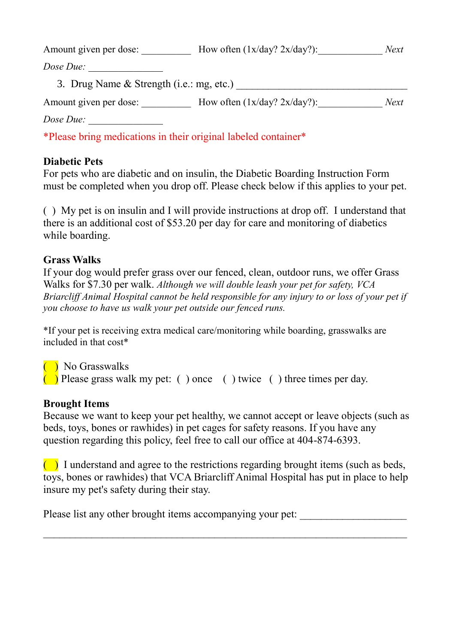| Amount given per dose:                   | How often $(1x/day? 2x/day?)$ :                                | Next |
|------------------------------------------|----------------------------------------------------------------|------|
| Dose Due:                                |                                                                |      |
| 3. Drug Name & Strength (i.e.: mg, etc.) |                                                                |      |
| Amount given per dose:                   | How often $(1x/day? 2x/day?)$ :                                | Next |
| Dose Due:                                |                                                                |      |
|                                          | *Please bring medications in their original labeled container* |      |

**Diabetic Pets**

For pets who are diabetic and on insulin, the Diabetic Boarding Instruction Form must be completed when you drop off. Please check below if this applies to your pet.

( ) My pet is on insulin and I will provide instructions at drop off. I understand that there is an additional cost of \$53.20 per day for care and monitoring of diabetics while boarding.

### **Grass Walks**

If your dog would prefer grass over our fenced, clean, outdoor runs, we offer Grass Walks for \$7.30 per walk. *Although we will double leash your pet for safety, VCA Briarcliff Animal Hospital cannot be held responsible for any injury to or loss of your pet if you choose to have us walk your pet outside our fenced runs.*

\*If your pet is receiving extra medical care/monitoring while boarding, grasswalks are included in that cost\*

 $\overline{\phantom{a}}$  No Grasswalks ( $\Box$ ) Please grass walk my pet: ( ) once ( ) twice ( ) three times per day.

### **Brought Items**

Because we want to keep your pet healthy, we cannot accept or leave objects (such as beds, toys, bones or rawhides) in pet cages for safety reasons. If you have any question regarding this policy, feel free to call our office at 404-874-6393.

 $\Box$  I understand and agree to the restrictions regarding brought items (such as beds, toys, bones or rawhides) that VCA Briarcliff Animal Hospital has put in place to help insure my pet's safety during their stay.

 $\_$  , and the contribution of the contribution of  $\mathcal{L}_\mathcal{A}$  , and the contribution of  $\mathcal{L}_\mathcal{A}$ 

Please list any other brought items accompanying your pet: